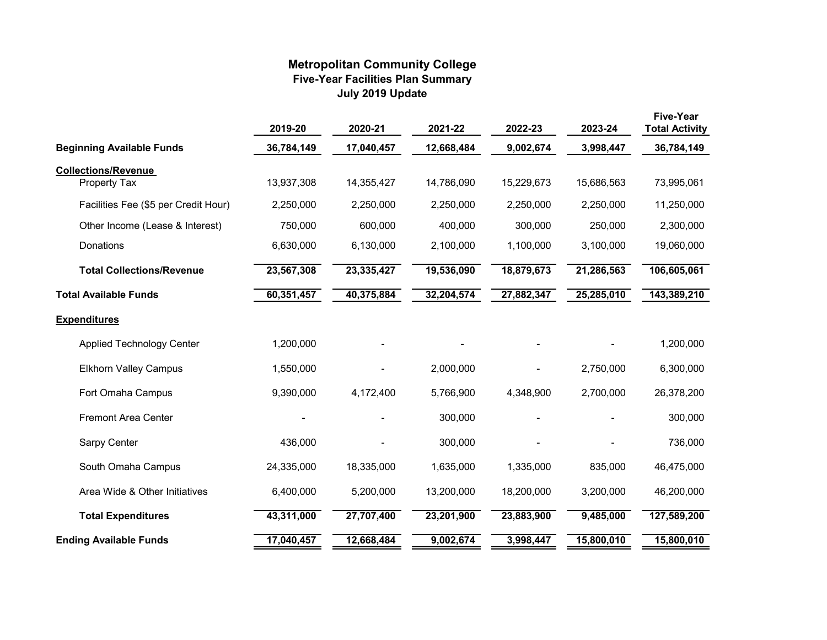## **Metropolitan Community College Five-Year Facilities Plan Summary July 2019 Update**

|                                      | 2019-20    | 2020-21    | 2021-22    | 2022-23    | 2023-24    | <b>Five-Year</b><br><b>Total Activity</b> |
|--------------------------------------|------------|------------|------------|------------|------------|-------------------------------------------|
| <b>Beginning Available Funds</b>     | 36,784,149 | 17,040,457 | 12,668,484 | 9,002,674  | 3,998,447  | 36,784,149                                |
| <b>Collections/Revenue</b>           |            |            |            |            |            |                                           |
| Property Tax                         | 13,937,308 | 14,355,427 | 14,786,090 | 15,229,673 | 15,686,563 | 73,995,061                                |
| Facilities Fee (\$5 per Credit Hour) | 2,250,000  | 2,250,000  | 2,250,000  | 2,250,000  | 2,250,000  | 11,250,000                                |
| Other Income (Lease & Interest)      | 750,000    | 600,000    | 400,000    | 300,000    | 250,000    | 2,300,000                                 |
| Donations                            | 6,630,000  | 6,130,000  | 2,100,000  | 1,100,000  | 3,100,000  | 19,060,000                                |
| <b>Total Collections/Revenue</b>     | 23,567,308 | 23,335,427 | 19,536,090 | 18,879,673 | 21,286,563 | 106,605,061                               |
| <b>Total Available Funds</b>         | 60,351,457 | 40,375,884 | 32,204,574 | 27,882,347 | 25,285,010 | 143,389,210                               |
| <b>Expenditures</b>                  |            |            |            |            |            |                                           |
| <b>Applied Technology Center</b>     | 1,200,000  |            |            |            |            | 1,200,000                                 |
| <b>Elkhorn Valley Campus</b>         | 1,550,000  |            | 2,000,000  |            | 2,750,000  | 6,300,000                                 |
| Fort Omaha Campus                    | 9,390,000  | 4,172,400  | 5,766,900  | 4,348,900  | 2,700,000  | 26,378,200                                |
| <b>Fremont Area Center</b>           |            |            | 300,000    |            |            | 300,000                                   |
| Sarpy Center                         | 436,000    |            | 300,000    |            |            | 736,000                                   |
| South Omaha Campus                   | 24,335,000 | 18,335,000 | 1,635,000  | 1,335,000  | 835,000    | 46,475,000                                |
| Area Wide & Other Initiatives        | 6,400,000  | 5,200,000  | 13,200,000 | 18,200,000 | 3,200,000  | 46,200,000                                |
| <b>Total Expenditures</b>            | 43,311,000 | 27,707,400 | 23,201,900 | 23,883,900 | 9,485,000  | 127,589,200                               |
| <b>Ending Available Funds</b>        | 17,040,457 | 12,668,484 | 9,002,674  | 3,998,447  | 15,800,010 | 15,800,010                                |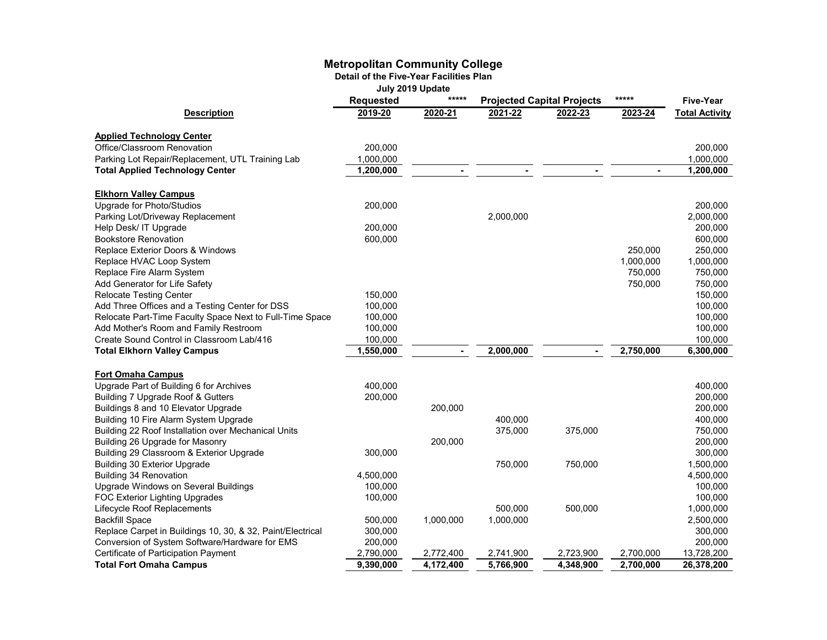## **Metropolitan Community College**

**Detail of the Five-Year Facilities Plan**

|  |  | July 2019 Update |
|--|--|------------------|
|--|--|------------------|

|                                                            | *****<br><b>Requested</b> |                | <b>Projected Capital Projects</b> |                | *****     | <b>Five-Year</b>      |
|------------------------------------------------------------|---------------------------|----------------|-----------------------------------|----------------|-----------|-----------------------|
| <b>Description</b>                                         | 2019-20                   | 2020-21        | 2021-22                           | 2022-23        | 2023-24   | <b>Total Activity</b> |
|                                                            |                           |                |                                   |                |           |                       |
| <b>Applied Technology Center</b>                           |                           |                |                                   |                |           |                       |
| Office/Classroom Renovation                                | 200,000                   |                |                                   |                |           | 200.000               |
| Parking Lot Repair/Replacement, UTL Training Lab           | 1,000,000                 |                |                                   |                |           | 1,000,000             |
| <b>Total Applied Technology Center</b>                     | 1,200,000                 |                |                                   |                |           | 1,200,000             |
| <b>Elkhorn Valley Campus</b>                               |                           |                |                                   |                |           |                       |
| Upgrade for Photo/Studios                                  | 200,000                   |                |                                   |                |           | 200,000               |
| Parking Lot/Driveway Replacement                           |                           |                | 2,000,000                         |                |           | 2,000,000             |
| Help Desk/ IT Upgrade                                      | 200,000                   |                |                                   |                |           | 200,000               |
| <b>Bookstore Renovation</b>                                | 600,000                   |                |                                   |                |           | 600,000               |
| Replace Exterior Doors & Windows                           |                           |                |                                   |                | 250,000   | 250,000               |
| Replace HVAC Loop System                                   |                           |                |                                   |                | 1,000,000 | 1,000,000             |
| Replace Fire Alarm System                                  |                           |                |                                   |                | 750,000   | 750,000               |
| Add Generator for Life Safety                              |                           |                |                                   |                | 750,000   | 750,000               |
| <b>Relocate Testing Center</b>                             | 150,000                   |                |                                   |                |           | 150,000               |
| Add Three Offices and a Testing Center for DSS             | 100,000                   |                |                                   |                |           | 100,000               |
| Relocate Part-Time Faculty Space Next to Full-Time Space   | 100,000                   |                |                                   |                |           | 100,000               |
| Add Mother's Room and Family Restroom                      | 100,000                   |                |                                   |                |           | 100,000               |
| Create Sound Control in Classroom Lab/416                  | 100,000                   |                |                                   |                |           | 100,000               |
| <b>Total Elkhorn Valley Campus</b>                         | 1,550,000                 | $\blacksquare$ | 2,000,000                         | $\blacksquare$ | 2,750,000 | 6,300,000             |
|                                                            |                           |                |                                   |                |           |                       |
| <b>Fort Omaha Campus</b>                                   |                           |                |                                   |                |           |                       |
| Upgrade Part of Building 6 for Archives                    | 400,000                   |                |                                   |                |           | 400,000               |
| Building 7 Upgrade Roof & Gutters                          | 200,000                   |                |                                   |                |           | 200,000               |
| Buildings 8 and 10 Elevator Upgrade                        |                           | 200,000        |                                   |                |           | 200,000               |
| Building 10 Fire Alarm System Upgrade                      |                           |                | 400,000                           |                |           | 400,000               |
| Building 22 Roof Installation over Mechanical Units        |                           |                | 375,000                           | 375,000        |           | 750,000               |
| Building 26 Upgrade for Masonry                            |                           | 200,000        |                                   |                |           | 200,000               |
| Building 29 Classroom & Exterior Upgrade                   | 300,000                   |                |                                   |                |           | 300,000               |
| <b>Building 30 Exterior Upgrade</b>                        |                           |                | 750,000                           | 750,000        |           | 1,500,000             |
| <b>Building 34 Renovation</b>                              | 4,500,000                 |                |                                   |                |           | 4,500,000             |
| Upgrade Windows on Several Buildings                       | 100,000                   |                |                                   |                |           | 100,000               |
| FOC Exterior Lighting Upgrades                             | 100,000                   |                |                                   |                |           | 100,000               |
| Lifecycle Roof Replacements                                |                           |                | 500,000                           | 500,000        |           | 1,000,000             |
| <b>Backfill Space</b>                                      | 500,000                   | 1,000,000      | 1,000,000                         |                |           | 2,500,000             |
| Replace Carpet in Buildings 10, 30, & 32, Paint/Electrical | 300,000                   |                |                                   |                |           | 300,000               |
| Conversion of System Software/Hardware for EMS             | 200,000                   |                |                                   |                |           | 200,000               |
| Certificate of Participation Payment                       | 2,790,000                 | 2,772,400      | 2,741,900                         | 2,723,900      | 2,700,000 | 13,728,200            |
| <b>Total Fort Omaha Campus</b>                             | 9,390,000                 | 4,172,400      | 5,766,900                         | 4,348,900      | 2,700,000 | 26,378,200            |